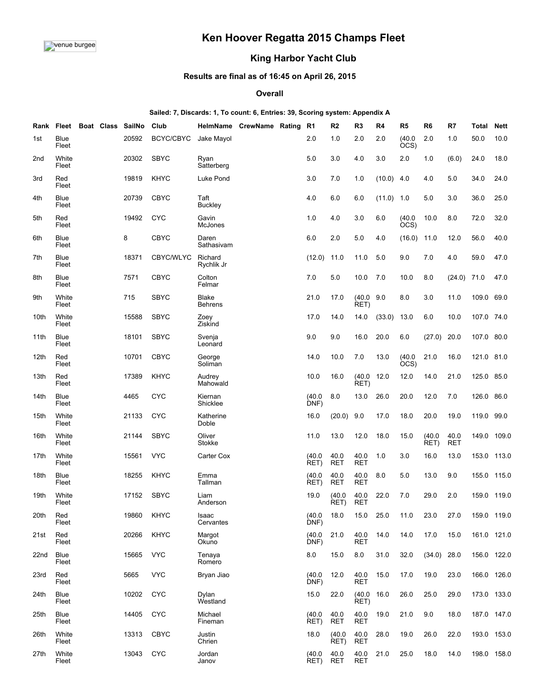# **Ken Hoover Regatta 2015 Champs Fleet**

## **King Harbor Yacht Club**

## **Results are final as of 16:45 on April 26, 2015**

#### **Overall**

#### **Sailed: 7, Discards: 1, To count: 6, Entries: 39, Scoring system: Appendix A**

|                  |                | Rank Fleet Boat Class | SailNo     | Club        |                                | HelmName CrewName Rating | R1             | R <sub>2</sub>            | R <sub>3</sub>     | R4           | R <sub>5</sub> | R <sub>6</sub> | R7          | Total       | <b>Nett</b> |
|------------------|----------------|-----------------------|------------|-------------|--------------------------------|--------------------------|----------------|---------------------------|--------------------|--------------|----------------|----------------|-------------|-------------|-------------|
| 1st              | Blue<br>Fleet  |                       | 20592      | BCYC/CBYC   | Jake Mayol                     |                          | 2.0            | 1.0                       | 2.0                | 2.0          | (40.0)<br>OCS) | 2.0            | 1.0         | 50.0        | 10.0        |
| 2 <sub>nd</sub>  | White<br>Fleet |                       | 20302      | <b>SBYC</b> | Ryan<br>Satterberg             |                          | 5.0            | 3.0                       | 4.0                | 3.0          | 2.0            | 1.0            | (6.0)       | 24.0        | 18.0        |
| 3rd              | Red<br>Fleet   |                       | 19819      | <b>KHYC</b> | Luke Pond                      |                          | 3.0            | 7.0                       | 1.0                | (10.0)       | 4.0            | 4.0            | 5.0         | 34.0        | 24.0        |
| 4th              | Blue<br>Fleet  |                       | 20739      | <b>CBYC</b> | Taft<br>Buckley                |                          | 4.0            | 6.0                       | 6.0                | $(11.0)$ 1.0 |                | 5.0            | 3.0         | 36.0        | 25.0        |
| 5th              | Red<br>Fleet   |                       | 19492      | <b>CYC</b>  | Gavin<br>McJones               |                          | 1.0            | 4.0                       | 3.0                | 6.0          | (40.0)<br>OCS) | 10.0           | 8.0         | 72.0        | 32.0        |
| 6th              | Blue<br>Fleet  |                       | 8          | <b>CBYC</b> | Daren<br>Sathasivam            |                          | 6.0            | 2.0                       | 5.0                | 4.0          | (16.0)         | 11.0           | 12.0        | 56.0        | 40.0        |
| 7th              | Blue<br>Fleet  |                       | 18371      | CBYC/WLYC   | Richard<br>Rychlik Jr          |                          | (12.0)         | 11.0                      | 11.0               | 5.0          | 9.0            | 7.0            | 4.0         | 59.0        | 47.0        |
| 8th              | Blue<br>Fleet  |                       | 7571       | <b>CBYC</b> | Colton<br>Felmar               |                          | 7.0            | 5.0                       | 10.0               | 7.0          | 10.0           | 8.0            | (24.0)      | 71.0        | 47.0        |
| 9th              | White<br>Fleet |                       | 715        | <b>SBYC</b> | <b>Blake</b><br><b>Behrens</b> |                          | 21.0           | 17.0                      | (40.0)<br>RET)     | 9.0          | 8.0            | 3.0            | 11.0        | 109.0 69.0  |             |
| 10th             | White<br>Fleet |                       | 15588      | <b>SBYC</b> | Zoey<br>Ziskind                |                          | 17.0           | 14.0                      | 14.0               | (33.0)       | 13.0           | 6.0            | 10.0        | 107.0 74.0  |             |
| 11th             | Blue<br>Fleet  |                       | 18101      | <b>SBYC</b> | Svenja<br>Leonard              |                          | 9.0            | 9.0                       | 16.0               | 20.0         | 6.0            | (27.0)         | 20.0        | 107.0 80.0  |             |
| 12th             | Red<br>Fleet   |                       | 10701      | <b>CBYC</b> | George<br>Soliman              |                          | 14.0           | 10.0                      | 7.0                | 13.0         | (40.0)<br>OCS) | 21.0           | 16.0        | 121.0       | 81.0        |
| 13 <sub>th</sub> | Red<br>Fleet   |                       | 17389      | <b>KHYC</b> | Audrey<br>Mahowald             |                          | 10.0           | 16.0                      | (40.0)<br>RET)     | 12.0         | 12.0           | 14.0           | 21.0        | 125.0 85.0  |             |
| 14th             | Blue<br>Fleet  |                       | 4465       | <b>CYC</b>  | Kiernan<br>Shicklee            |                          | (40.0)<br>DNF) | 8.0                       | 13.0               | 26.0         | 20.0           | 12.0           | 7.0         | 126.0 86.0  |             |
| 15th             | White<br>Fleet |                       | 21133      | <b>CYC</b>  | Katherine<br>Doble             |                          | 16.0           | (20.0)                    | 9.0                | 17.0         | 18.0           | 20.0           | 19.0        | 119.0       | 99.0        |
| 16th             | White<br>Fleet |                       | 21144      | <b>SBYC</b> | Oliver<br>Stokke               |                          | 11.0           | 13.0                      | 12.0               | 18.0         | 15.0           | (40.0)<br>RET) | 40.0<br>RET | 149.0       | 109.0       |
| 17th             | White<br>Fleet |                       | 15561      | <b>VYC</b>  | Carter Cox                     |                          | (40.0)<br>RET) | 40.0<br><b>RET</b>        | 40.0<br><b>RET</b> | 1.0          | 3.0            | 16.0           | 13.0        | 153.0       | 113.0       |
| 18th             | Blue<br>Fleet  |                       | 18255      | <b>KHYC</b> | Emma<br>Tallman                |                          | (40.0)<br>RET) | 40.0<br><b>RET</b>        | 40.0<br><b>RET</b> | 8.0          | 5.0            | 13.0           | 9.0         |             | 155.0 115.0 |
| 19th             | White<br>Fleet |                       | 17152      | <b>SBYC</b> | Liam<br>Anderson               |                          | 19.0           | (40.0)<br>RET)            | 40.0<br><b>RET</b> | 22.0         | 7.0            | 29.0           | 2.0         |             | 159.0 119.0 |
| 20th Red         | Fleet          |                       | 19860 KHYC |             | Isaac<br>Cervantes             |                          | DNF)           | (40.0 18.0 15.0 25.0 11.0 |                    |              |                | 23.0           | 27.0        | 159.0 119.0 |             |
| 21st             | Red<br>Fleet   |                       | 20266      | <b>KHYC</b> | Margot<br>Okuno                |                          | (40.0)<br>DNF) | 21.0                      | 40.0<br>RET        | 14.0         | 14.0           | 17.0           | 15.0        | 161.0 121.0 |             |
| 22 <sub>nd</sub> | Blue<br>Fleet  |                       | 15665      | <b>VYC</b>  | Tenaya<br>Romero               |                          | 8.0            | 15.0                      | 8.0                | 31.0         | 32.0           | (34.0)         | 28.0        |             | 156.0 122.0 |
| 23rd             | Red<br>Fleet   |                       | 5665       | <b>VYC</b>  | Bryan Jiao                     |                          | (40.0)<br>DNF) | 12.0                      | 40.0<br><b>RET</b> | 15.0         | 17.0           | 19.0           | 23.0        | 166.0 126.0 |             |
| 24th             | Blue<br>Fleet  |                       | 10202      | <b>CYC</b>  | Dylan<br>Westland              |                          | 15.0           | 22.0                      | (40.0 16.0<br>RET) |              | 26.0           | 25.0           | 29.0        | 173.0 133.0 |             |
| 25th             | Blue<br>Fleet  |                       | 14405      | <b>CYC</b>  | Michael<br>Fineman             |                          | (40.0)<br>RET) | 40.0<br><b>RET</b>        | 40.0<br><b>RET</b> | 19.0         | 21.0           | 9.0            | 18.0        | 187.0 147.0 |             |
| 26th             | White<br>Fleet |                       | 13313      | <b>CBYC</b> | Justin<br>Chrien               |                          | 18.0           | (40.0)<br>RET)            | 40.0<br><b>RET</b> | 28.0         | 19.0           | 26.0           | 22.0        | 193.0 153.0 |             |
| 27th             | White<br>Fleet |                       | 13043      | <b>CYC</b>  | Jordan<br>Janov                |                          | (40.0)<br>RET) | 40.0<br><b>RET</b>        | 40.0<br><b>RET</b> | 21.0         | 25.0           | 18.0           | 14.0        |             | 198.0 158.0 |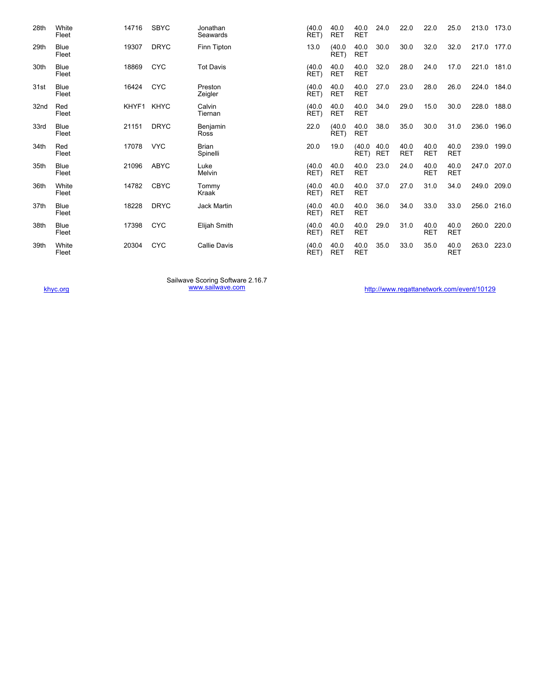| 28th | White<br>Fleet       | 14716 | <b>SBYC</b> | Jonathan<br>Seawards     | (40.0)<br>RET) | 40.0<br><b>RET</b> | 40.0<br><b>RET</b> | 24.0               | 22.0               | 22.0               | 25.0               | 213.0 173.0 |       |
|------|----------------------|-------|-------------|--------------------------|----------------|--------------------|--------------------|--------------------|--------------------|--------------------|--------------------|-------------|-------|
| 29th | <b>Blue</b><br>Fleet | 19307 | <b>DRYC</b> | Finn Tipton              | 13.0           | (40.0)<br>RET)     | 40.0<br><b>RET</b> | 30.0               | 30.0               | 32.0               | 32.0               | 217.0 177.0 |       |
| 30th | <b>Blue</b><br>Fleet | 18869 | <b>CYC</b>  | <b>Tot Davis</b>         | (40.0)<br>RET) | 40.0<br><b>RET</b> | 40.0<br><b>RET</b> | 32.0               | 28.0               | 24.0               | 17.0               | 221.0       | 181.0 |
| 31st | <b>Blue</b><br>Fleet | 16424 | <b>CYC</b>  | Preston<br>Zeigler       | (40.0)<br>RET) | 40.0<br><b>RET</b> | 40.0<br><b>RET</b> | 27.0               | 23.0               | 28.0               | 26.0               | 224.0       | 184.0 |
| 32nd | Red<br>Fleet         | KHYF1 | <b>KHYC</b> | Calvin<br>Tiernan        | (40.0)<br>RET) | 40.0<br><b>RET</b> | 40.0<br><b>RET</b> | 34.0               | 29.0               | 15.0               | 30.0               | 228.0       | 188.0 |
| 33rd | <b>Blue</b><br>Fleet | 21151 | <b>DRYC</b> | Benjamin<br>Ross         | 22.0           | (40.0)<br>RET)     | 40.0<br><b>RET</b> | 38.0               | 35.0               | 30.0               | 31.0               | 236.0       | 196.0 |
| 34th | Red<br>Fleet         | 17078 | <b>VYC</b>  | <b>Brian</b><br>Spinelli | 20.0           | 19.0               | (40.0)<br>RET)     | 40.0<br><b>RET</b> | 40.0<br><b>RET</b> | 40.0<br><b>RET</b> | 40.0<br><b>RET</b> | 239.0 199.0 |       |
| 35th | <b>Blue</b><br>Fleet | 21096 | <b>ABYC</b> | Luke<br>Melvin           | (40.0)<br>RET) | 40.0<br><b>RET</b> | 40.0<br><b>RET</b> | 23.0               | 24.0               | 40.0<br><b>RET</b> | 40.0<br><b>RET</b> | 247.0 207.0 |       |
| 36th | White<br>Fleet       | 14782 | <b>CBYC</b> | Tommy<br>Kraak           | (40.0)<br>RET) | 40.0<br>RET        | 40.0<br><b>RET</b> | 37.0               | 27.0               | 31.0               | 34.0               | 249.0 209.0 |       |
| 37th | <b>Blue</b><br>Fleet | 18228 | <b>DRYC</b> | Jack Martin              | (40.0)<br>RET) | 40.0<br>RET        | 40.0<br><b>RET</b> | 36.0               | 34.0               | 33.0               | 33.0               | 256.0 216.0 |       |
| 38th | <b>Blue</b><br>Fleet | 17398 | <b>CYC</b>  | Elijah Smith             | (40.0)<br>RET) | 40.0<br><b>RET</b> | 40.0<br><b>RET</b> | 29.0               | 31.0               | 40.0<br><b>RET</b> | 40.0<br><b>RET</b> | 260.0       | 220.0 |
| 39th | White<br>Fleet       | 20304 | <b>CYC</b>  | <b>Callie Davis</b>      | (40.0)<br>RET) | 40.0<br><b>RET</b> | 40.0<br><b>RET</b> | 35.0               | 33.0               | 35.0               | 40.0<br><b>RET</b> | 263.0       | 223.0 |

Sailwave Scoring Software 2.16.7<br><u>[www.sailwave.com](http://www.sailwave.com/)</u>

[khyc.org](http://khyc.org/) material www.sailwave.com www.sailwave.com [http://www.regattanetwork.com/event/10129](http://http//www.regattanetwork.com/event/10129)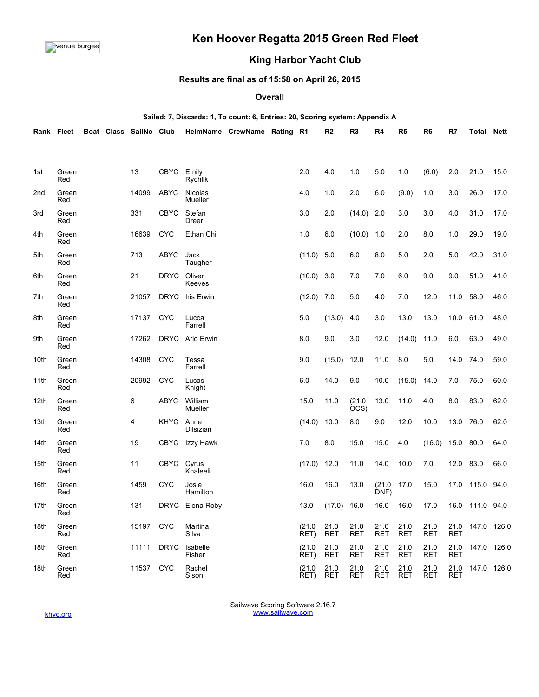

# **Ken Hoover Regatta 2015 Green Red Fleet**

## **King Harbor Yacht Club**

### **Results are final as of 15:58 on April 26, 2015**

#### **Overall**

## **Sailed: 7, Discards: 1, To count: 6, Entries: 20, Scoring system: Appendix A Rank Fleet Boat Class SailNo Club HelmName CrewName Rating R1 R2 R3 R4 R5 R6 R7 Total Nett**

| 1st  | Green<br>Red | 13             | <b>CBYC</b> | Emily<br>Rychlik          | 2.0            | 4.0                | 1.0                | 5.0                | 1.0                | (6.0)              | 2.0                | 21.0            | 15.0 |
|------|--------------|----------------|-------------|---------------------------|----------------|--------------------|--------------------|--------------------|--------------------|--------------------|--------------------|-----------------|------|
| 2nd  | Green<br>Red | 14099          | <b>ABYC</b> | <b>Nicolas</b><br>Mueller | 4.0            | 1.0                | 2.0                | 6.0                | (9.0)              | 1.0                | 3.0                | 26.0            | 17.0 |
| 3rd  | Green<br>Red | 331            | <b>CBYC</b> | Stefan<br><b>Dreer</b>    | 3.0            | 2.0                | $(14.0)$ 2.0       |                    | 3.0                | 3.0                | 4.0                | 31.0            | 17.0 |
| 4th  | Green<br>Red | 16639          | <b>CYC</b>  | Ethan Chi                 | 1.0            | 6.0                | (10.0)             | 1.0                | 2.0                | 8.0                | 1.0                | 29.0            | 19.0 |
| 5th  | Green<br>Red | 713            | <b>ABYC</b> | Jack<br>Taugher           | (11.0)         | 5.0                | 6.0                | 8.0                | 5.0                | 2.0                | 5.0                | 42.0            | 31.0 |
| 6th  | Green<br>Red | 21             | <b>DRYC</b> | Oliver<br>Keeves          | (10.0)         | 3.0                | 7.0                | 7.0                | 6.0                | 9.0                | 9.0                | 51.0            | 41.0 |
| 7th  | Green<br>Red | 21057          | <b>DRYC</b> | Iris Erwin                | (12.0)         | 7.0                | 5.0                | 4.0                | 7.0                | 12.0               | 11.0               | 58.0            | 46.0 |
| 8th  | Green<br>Red | 17137          | <b>CYC</b>  | Lucca<br>Farrell          | 5.0            | (13.0)             | 4.0                | 3.0                | 13.0               | 13.0               | 10.0               | 61.0            | 48.0 |
| 9th  | Green<br>Red | 17262          | <b>DRYC</b> | Arlo Erwin                | 8.0            | 9.0                | 3.0                | 12.0               | (14.0)             | 11.0               | 6.0                | 63.0            | 49.0 |
| 10th | Green<br>Red | 14308          | <b>CYC</b>  | Tessa<br>Farrell          | 9.0            | (15.0)             | 12.0               | 11.0               | 8.0                | 5.0                | 14.0               | 74.0            | 59.0 |
| 11th | Green<br>Red | 20992          | <b>CYC</b>  | Lucas<br>Knight           | 6.0            | 14.0               | 9.0                | 10.0               | (15.0)             | 14.0               | 7.0                | 75.0            | 60.0 |
| 12th | Green<br>Red | 6              | <b>ABYC</b> | William<br>Mueller        | 15.0           | 11.0               | (21.0)<br>OCS)     | 13.0               | 11.0               | 4.0                | 8.0                | 83.0            | 62.0 |
| 13th | Green<br>Red | $\overline{4}$ | <b>KHYC</b> | Anne<br>Dilsizian         | (14.0)         | 10.0               | 8.0                | 9.0                | 12.0               | 10.0               | 13.0               | 76.0            | 62.0 |
| 14th | Green<br>Red | 19             | <b>CBYC</b> | Izzy Hawk                 | 7.0            | 8.0                | 15.0               | 15.0               | 4.0                | (16.0)             | 15.0               | 80.0            | 64.0 |
| 15th | Green<br>Red | 11             | CBYC        | Cyrus<br>Khaleeli         | (17.0)         | 12.0               | 11.0               | 14.0               | 10.0               | 7.0                | 12.0               | 83.0            | 66.0 |
| 16th | Green<br>Red | 1459           | <b>CYC</b>  | Josie<br>Hamilton         | 16.0           | 16.0               | 13.0               | (21.0)<br>DNF)     | 17.0               | 15.0               |                    | 17.0 115.0 94.0 |      |
| 17th | Green<br>Red | 131            | <b>DRYC</b> | Elena Roby                | 13.0           | (17.0)             | 16.0               | 16.0               | 16.0               | 17.0               | 16.0               | 111.0 94.0      |      |
| 18th | Green<br>Red | 15197          | <b>CYC</b>  | Martina<br>Silva          | (21.0)<br>RET) | 21.0<br><b>RET</b> | 21.0<br><b>RET</b> | 21.0<br><b>RET</b> | 21.0<br><b>RET</b> | 21.0<br><b>RET</b> | 21.0<br><b>RET</b> | 147.0 126.0     |      |
| 18th | Green<br>Red | 11111          | <b>DRYC</b> | Isabelle<br>Fisher        | (21.0<br>RET)  | 21.0<br><b>RET</b> | 21.0<br><b>RET</b> | 21.0<br><b>RET</b> | 21.0<br><b>RET</b> | 21.0<br><b>RET</b> | 21.0<br><b>RET</b> | 147.0 126.0     |      |
| 18th | Green<br>Red | 11537          | <b>CYC</b>  | Rachel<br>Sison           | (21.0)<br>RET) | 21.0<br><b>RET</b> | 21.0<br>RET        | 21.0<br><b>RET</b> | 21.0<br><b>RET</b> | 21.0<br><b>RET</b> | 21.0<br>RET        | 147.0 126.0     |      |

Sailwave Scoring Software 2.16.7 [www.sailwave.com](http://www.sailwave.com/)

[khyc.org](http://khyc.org/)